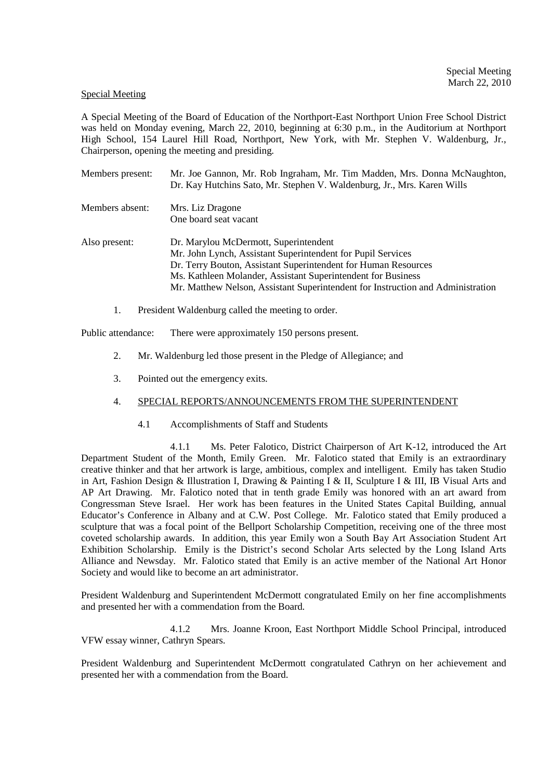#### Special Meeting

A Special Meeting of the Board of Education of the Northport-East Northport Union Free School District was held on Monday evening, March 22, 2010, beginning at 6:30 p.m., in the Auditorium at Northport High School, 154 Laurel Hill Road, Northport, New York, with Mr. Stephen V. Waldenburg, Jr., Chairperson, opening the meeting and presiding.

| Members present: | Mr. Joe Gannon, Mr. Rob Ingraham, Mr. Tim Madden, Mrs. Donna McNaughton,<br>Dr. Kay Hutchins Sato, Mr. Stephen V. Waldenburg, Jr., Mrs. Karen Wills                                                                                                                                                                       |
|------------------|---------------------------------------------------------------------------------------------------------------------------------------------------------------------------------------------------------------------------------------------------------------------------------------------------------------------------|
| Members absent:  | Mrs. Liz Dragone<br>One board seat vacant                                                                                                                                                                                                                                                                                 |
| Also present:    | Dr. Marylou McDermott, Superintendent<br>Mr. John Lynch, Assistant Superintendent for Pupil Services<br>Dr. Terry Bouton, Assistant Superintendent for Human Resources<br>Ms. Kathleen Molander, Assistant Superintendent for Business<br>Mr. Matthew Nelson, Assistant Superintendent for Instruction and Administration |

1. President Waldenburg called the meeting to order.

Public attendance: There were approximately 150 persons present.

- 2. Mr. Waldenburg led those present in the Pledge of Allegiance; and
- 3. Pointed out the emergency exits.

## 4. SPECIAL REPORTS/ANNOUNCEMENTS FROM THE SUPERINTENDENT

4.1 Accomplishments of Staff and Students

 4.1.1 Ms. Peter Falotico, District Chairperson of Art K-12, introduced the Art Department Student of the Month, Emily Green. Mr. Falotico stated that Emily is an extraordinary creative thinker and that her artwork is large, ambitious, complex and intelligent. Emily has taken Studio in Art, Fashion Design & Illustration I, Drawing & Painting I & II, Sculpture I & III, IB Visual Arts and AP Art Drawing. Mr. Falotico noted that in tenth grade Emily was honored with an art award from Congressman Steve Israel. Her work has been features in the United States Capital Building, annual Educator's Conference in Albany and at C.W. Post College. Mr. Falotico stated that Emily produced a sculpture that was a focal point of the Bellport Scholarship Competition, receiving one of the three most coveted scholarship awards. In addition, this year Emily won a South Bay Art Association Student Art Exhibition Scholarship. Emily is the District's second Scholar Arts selected by the Long Island Arts Alliance and Newsday. Mr. Falotico stated that Emily is an active member of the National Art Honor Society and would like to become an art administrator.

President Waldenburg and Superintendent McDermott congratulated Emily on her fine accomplishments and presented her with a commendation from the Board.

 4.1.2 Mrs. Joanne Kroon, East Northport Middle School Principal, introduced VFW essay winner, Cathryn Spears.

President Waldenburg and Superintendent McDermott congratulated Cathryn on her achievement and presented her with a commendation from the Board.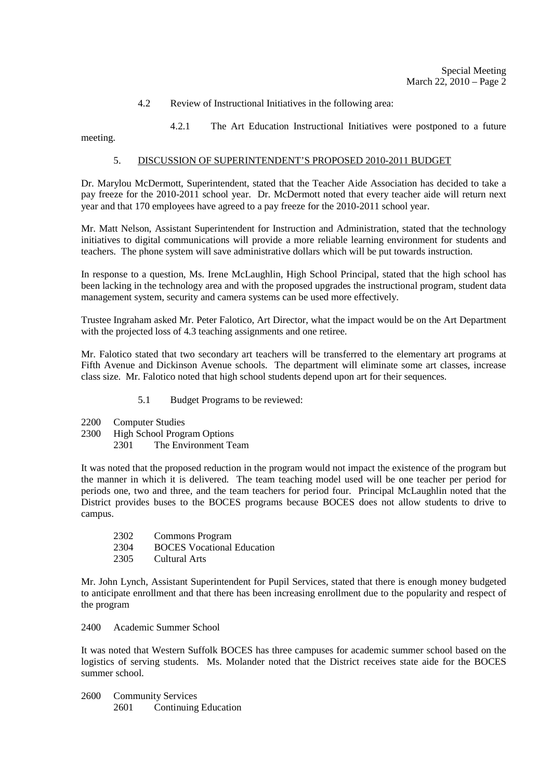4.2 Review of Instructional Initiatives in the following area:

4.2.1 The Art Education Instructional Initiatives were postponed to a future

meeting.

## 5. DISCUSSION OF SUPERINTENDENT'S PROPOSED 2010-2011 BUDGET

Dr. Marylou McDermott, Superintendent, stated that the Teacher Aide Association has decided to take a pay freeze for the 2010-2011 school year. Dr. McDermott noted that every teacher aide will return next year and that 170 employees have agreed to a pay freeze for the 2010-2011 school year.

Mr. Matt Nelson, Assistant Superintendent for Instruction and Administration, stated that the technology initiatives to digital communications will provide a more reliable learning environment for students and teachers. The phone system will save administrative dollars which will be put towards instruction.

In response to a question, Ms. Irene McLaughlin, High School Principal, stated that the high school has been lacking in the technology area and with the proposed upgrades the instructional program, student data management system, security and camera systems can be used more effectively.

Trustee Ingraham asked Mr. Peter Falotico, Art Director, what the impact would be on the Art Department with the projected loss of 4.3 teaching assignments and one retiree.

Mr. Falotico stated that two secondary art teachers will be transferred to the elementary art programs at Fifth Avenue and Dickinson Avenue schools. The department will eliminate some art classes, increase class size. Mr. Falotico noted that high school students depend upon art for their sequences.

- 5.1 Budget Programs to be reviewed:
- 2200 Computer Studies
- 2300 High School Program Options
	- 2301 The Environment Team

It was noted that the proposed reduction in the program would not impact the existence of the program but the manner in which it is delivered. The team teaching model used will be one teacher per period for periods one, two and three, and the team teachers for period four. Principal McLaughlin noted that the District provides buses to the BOCES programs because BOCES does not allow students to drive to campus.

- 2302 Commons Program
- 2304 BOCES Vocational Education
- 2305 Cultural Arts

Mr. John Lynch, Assistant Superintendent for Pupil Services, stated that there is enough money budgeted to anticipate enrollment and that there has been increasing enrollment due to the popularity and respect of the program

2400 Academic Summer School

It was noted that Western Suffolk BOCES has three campuses for academic summer school based on the logistics of serving students. Ms. Molander noted that the District receives state aide for the BOCES summer school.

2600 Community Services 2601 Continuing Education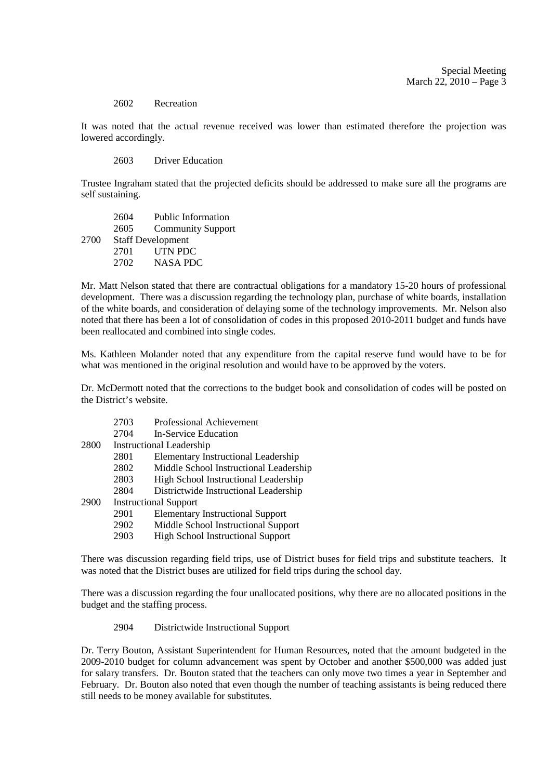#### 2602 Recreation

It was noted that the actual revenue received was lower than estimated therefore the projection was lowered accordingly.

2603 Driver Education

Trustee Ingraham stated that the projected deficits should be addressed to make sure all the programs are self sustaining.

 2604 Public Information 2605 Community Support 2700 Staff Development 2701 UTN PDC 2702 NASA PDC

Mr. Matt Nelson stated that there are contractual obligations for a mandatory 15-20 hours of professional development. There was a discussion regarding the technology plan, purchase of white boards, installation of the white boards, and consideration of delaying some of the technology improvements. Mr. Nelson also noted that there has been a lot of consolidation of codes in this proposed 2010-2011 budget and funds have been reallocated and combined into single codes.

Ms. Kathleen Molander noted that any expenditure from the capital reserve fund would have to be for what was mentioned in the original resolution and would have to be approved by the voters.

Dr. McDermott noted that the corrections to the budget book and consolidation of codes will be posted on the District's website.

| 2703 | Professional Achievement |
|------|--------------------------|
|------|--------------------------|

2704 In-Service Education

2800 Instructional Leadership

- 2801 Elementary Instructional Leadership
- 2802 Middle School Instructional Leadership
- 2803 High School Instructional Leadership
- 2804 Districtwide Instructional Leadership
- 2900 Instructional Support
	- 2901 Elementary Instructional Support
	- 2902 Middle School Instructional Support
	- 2903 High School Instructional Support

There was discussion regarding field trips, use of District buses for field trips and substitute teachers. It was noted that the District buses are utilized for field trips during the school day.

There was a discussion regarding the four unallocated positions, why there are no allocated positions in the budget and the staffing process.

#### 2904 Districtwide Instructional Support

Dr. Terry Bouton, Assistant Superintendent for Human Resources, noted that the amount budgeted in the 2009-2010 budget for column advancement was spent by October and another \$500,000 was added just for salary transfers. Dr. Bouton stated that the teachers can only move two times a year in September and February. Dr. Bouton also noted that even though the number of teaching assistants is being reduced there still needs to be money available for substitutes.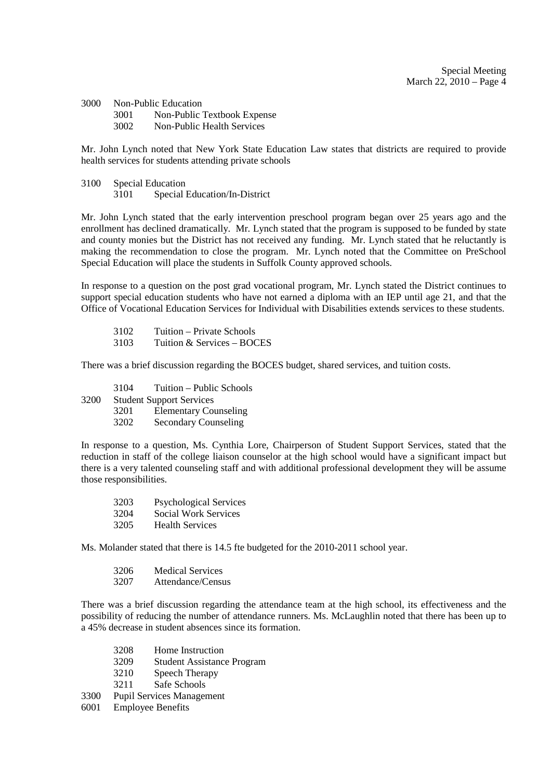3000 Non-Public Education 3001 Non-Public Textbook Expense 3002 Non-Public Health Services

Mr. John Lynch noted that New York State Education Law states that districts are required to provide health services for students attending private schools

3100 Special Education 3101 Special Education/In-District

Mr. John Lynch stated that the early intervention preschool program began over 25 years ago and the enrollment has declined dramatically. Mr. Lynch stated that the program is supposed to be funded by state and county monies but the District has not received any funding. Mr. Lynch stated that he reluctantly is making the recommendation to close the program. Mr. Lynch noted that the Committee on PreSchool Special Education will place the students in Suffolk County approved schools.

In response to a question on the post grad vocational program, Mr. Lynch stated the District continues to support special education students who have not earned a diploma with an IEP until age 21, and that the Office of Vocational Education Services for Individual with Disabilities extends services to these students.

 3102 Tuition – Private Schools 3103 Tuition & Services – BOCES

There was a brief discussion regarding the BOCES budget, shared services, and tuition costs.

- 3104 Tuition Public Schools 3200 Student Support Services 3201 Elementary Counseling
	- 3202 Secondary Counseling

In response to a question, Ms. Cynthia Lore, Chairperson of Student Support Services, stated that the reduction in staff of the college liaison counselor at the high school would have a significant impact but there is a very talented counseling staff and with additional professional development they will be assume those responsibilities.

| 3203 | <b>Psychological Services</b> |
|------|-------------------------------|
| 3204 | Social Work Services          |
| 3205 | <b>Health Services</b>        |

Ms. Molander stated that there is 14.5 fte budgeted for the 2010-2011 school year.

| 3206 | <b>Medical Services</b> |
|------|-------------------------|
|      |                         |

3207 Attendance/Census

There was a brief discussion regarding the attendance team at the high school, its effectiveness and the possibility of reducing the number of attendance runners. Ms. McLaughlin noted that there has been up to a 45% decrease in student absences since its formation.

- 3208 Home Instruction
- 3209 Student Assistance Program
- 3210 Speech Therapy<br>3211 Safe Schools
- Safe Schools
- 3300 Pupil Services Management
- 6001 Employee Benefits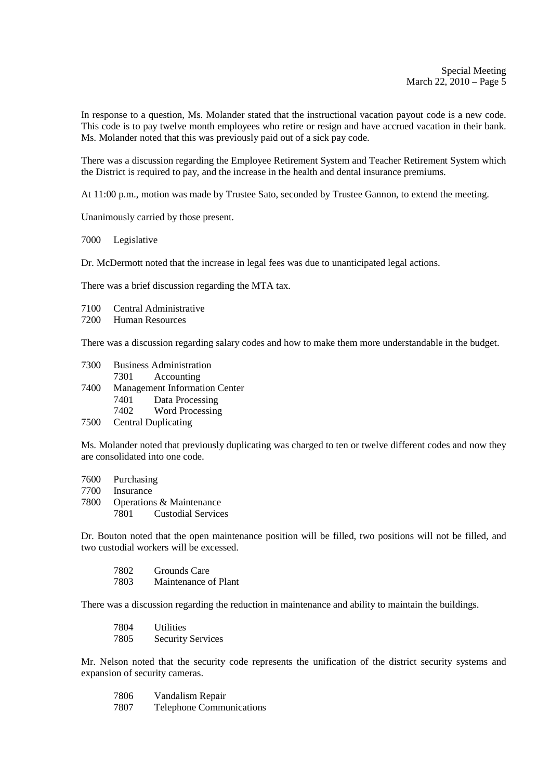In response to a question, Ms. Molander stated that the instructional vacation payout code is a new code. This code is to pay twelve month employees who retire or resign and have accrued vacation in their bank. Ms. Molander noted that this was previously paid out of a sick pay code.

There was a discussion regarding the Employee Retirement System and Teacher Retirement System which the District is required to pay, and the increase in the health and dental insurance premiums.

At 11:00 p.m., motion was made by Trustee Sato, seconded by Trustee Gannon, to extend the meeting.

Unanimously carried by those present.

7000 Legislative

Dr. McDermott noted that the increase in legal fees was due to unanticipated legal actions.

There was a brief discussion regarding the MTA tax.

- 7100 Central Administrative
- 7200 Human Resources

There was a discussion regarding salary codes and how to make them more understandable in the budget.

| 7300 | <b>Business Administration</b>       |  |
|------|--------------------------------------|--|
|      | 7301 Accounting                      |  |
| 7400 | <b>Management Information Center</b> |  |
|      | 7401<br>Data Processing              |  |
|      | 7402<br><b>Word Processing</b>       |  |
| 7.50 | $\sim$ $\sim$ $\sim$ $\sim$ $\sim$   |  |

7500 Central Duplicating

Ms. Molander noted that previously duplicating was charged to ten or twelve different codes and now they are consolidated into one code.

7600 Purchasing 7700 Insurance 7800 Operations & Maintenance 7801 Custodial Services

Dr. Bouton noted that the open maintenance position will be filled, two positions will not be filled, and two custodial workers will be excessed.

| 7802 | Grounds Care         |
|------|----------------------|
| 7803 | Maintenance of Plant |

There was a discussion regarding the reduction in maintenance and ability to maintain the buildings.

| 7804 | <b>Utilities</b>         |
|------|--------------------------|
| 7805 | <b>Security Services</b> |

Mr. Nelson noted that the security code represents the unification of the district security systems and expansion of security cameras.

| 7806 | Vandalism Repair                |
|------|---------------------------------|
| 7807 | <b>Telephone Communications</b> |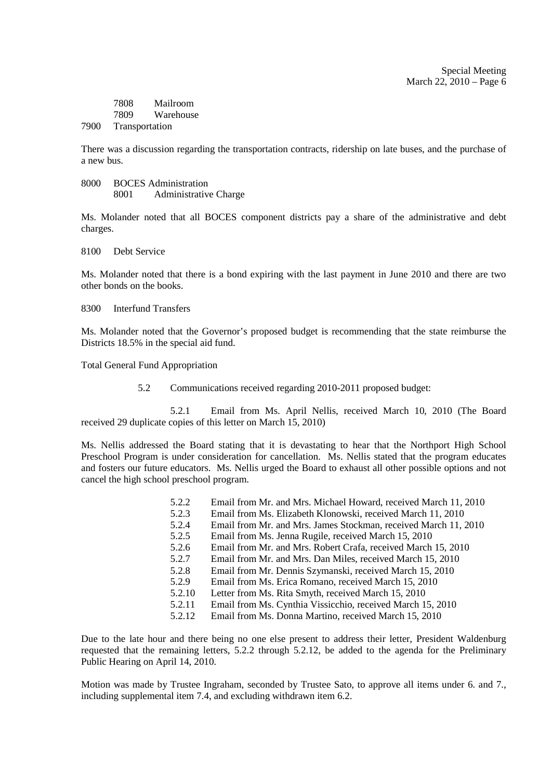Special Meeting March 22, 2010 – Page 6

|      | 7808           | Mailroom  |
|------|----------------|-----------|
|      | 7809           | Warehouse |
| 7900 | Transportation |           |

There was a discussion regarding the transportation contracts, ridership on late buses, and the purchase of a new bus.

8000 BOCES Administration 8001 Administrative Charge

Ms. Molander noted that all BOCES component districts pay a share of the administrative and debt charges.

8100 Debt Service

Ms. Molander noted that there is a bond expiring with the last payment in June 2010 and there are two other bonds on the books.

8300 Interfund Transfers

Ms. Molander noted that the Governor's proposed budget is recommending that the state reimburse the Districts 18.5% in the special aid fund.

Total General Fund Appropriation

5.2 Communications received regarding 2010-2011 proposed budget:

5.2.1 Email from Ms. April Nellis, received March 10, 2010 (The Board received 29 duplicate copies of this letter on March 15, 2010)

Ms. Nellis addressed the Board stating that it is devastating to hear that the Northport High School Preschool Program is under consideration for cancellation. Ms. Nellis stated that the program educates and fosters our future educators. Ms. Nellis urged the Board to exhaust all other possible options and not cancel the high school preschool program.

| 5.2.2 |        | Email from Mr. and Mrs. Michael Howard, received March 11, 2010 |
|-------|--------|-----------------------------------------------------------------|
| 5.2.3 |        | Email from Ms. Elizabeth Klonowski, received March 11, 2010     |
| 5.2.4 |        | Email from Mr. and Mrs. James Stockman, received March 11, 2010 |
| 5.2.5 |        | Email from Ms. Jenna Rugile, received March 15, 2010            |
| 5.2.6 |        | Email from Mr. and Mrs. Robert Crafa, received March 15, 2010   |
| 5.2.7 |        | Email from Mr. and Mrs. Dan Miles, received March 15, 2010      |
| 5.2.8 |        | Email from Mr. Dennis Szymanski, received March 15, 2010        |
| 5.2.9 |        | Email from Ms. Erica Romano, received March 15, 2010            |
|       | 5.2.10 | Letter from Ms. Rita Smyth, received March 15, 2010             |
|       | 5.2.11 | Email from Ms. Cynthia Vissicchio, received March 15, 2010      |
|       | 5.2.12 | Email from Ms. Donna Martino, received March 15, 2010           |
|       |        |                                                                 |

Due to the late hour and there being no one else present to address their letter, President Waldenburg requested that the remaining letters, 5.2.2 through 5.2.12, be added to the agenda for the Preliminary Public Hearing on April 14, 2010.

Motion was made by Trustee Ingraham, seconded by Trustee Sato, to approve all items under 6. and 7., including supplemental item 7.4, and excluding withdrawn item 6.2.